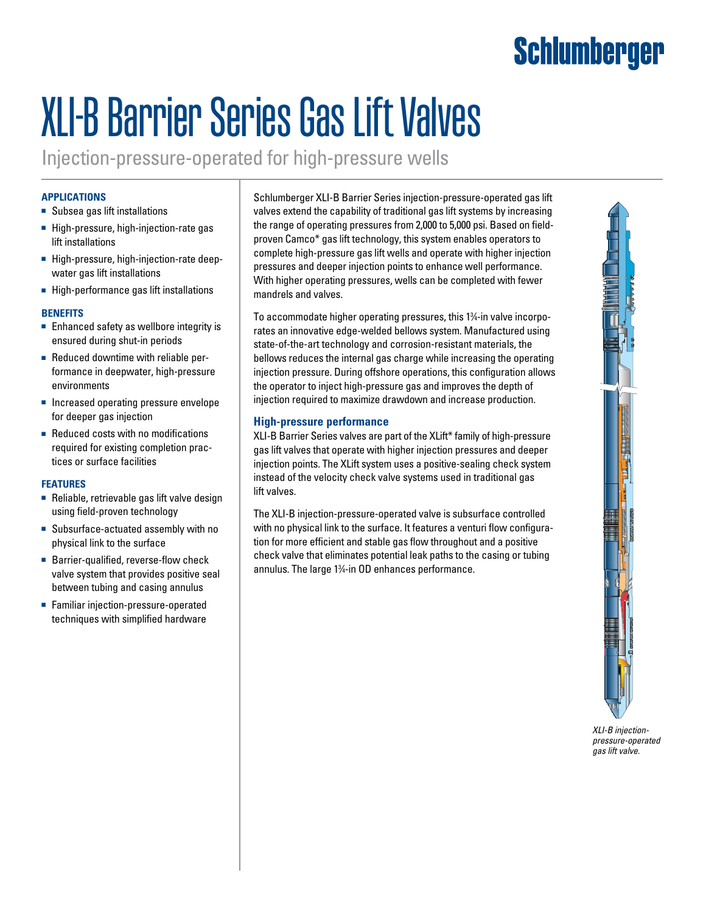## Schlumberger

# XLI-B Barrier Series Gas Lift Valves

Injection-pressure-operated for high-pressure wells

#### **Applications**

- Subsea gas lift installations
- High-pressure, high-injection-rate gas lift installations
- High-pressure, high-injection-rate deepwater gas lift installations
- High-performance gas lift installations

#### **Benefits**

- Enhanced safety as wellbore integrity is ensured during shut-in periods
- Reduced downtime with reliable performance in deepwater, high-pressure environments
- Increased operating pressure envelope for deeper gas injection
- Reduced costs with no modifications required for existing completion practices or surface facilities

#### **Features**

- Reliable, retrievable gas lift valve design using field-proven technology
- Subsurface-actuated assembly with no physical link to the surface
- Barrier-qualified, reverse-flow check valve system that provides positive seal between tubing and casing annulus
- Familiar injection-pressure-operated techniques with simplified hardware

Schlumberger XLI-B Barrier Series injection-pressure-operated gas lift valves extend the capability of traditional gas lift systems by increasing the range of operating pressures from 2,000 to 5,000 psi. Based on fieldproven Camco\* gas lift technology, this system enables operators to complete high-pressure gas lift wells and operate with higher injection pressures and deeper injection points to enhance well performance. With higher operating pressures, wells can be completed with fewer mandrels and valves.

To accommodate higher operating pressures, this 13 ⁄4-in valve incorporates an innovative edge-welded bellows system. Manufactured using state-of-the-art technology and corrosion-resistant materials, the bellows reduces the internal gas charge while increasing the operating injection pressure. During offshore operations, this configuration allows the operator to inject high-pressure gas and improves the depth of injection required to maximize drawdown and increase production.

#### **High-pressure performance**

XLI-B Barrier Series valves are part of the XLift\* family of high-pressure gas lift valves that operate with higher injection pressures and deeper injection points. The XLift system uses a positive-sealing check system instead of the velocity check valve systems used in traditional gas lift valves.

The XLI-B injection-pressure-operated valve is subsurface controlled with no physical link to the surface. It features a venturi flow configuration for more efficient and stable gas flow throughout and a positive check valve that eliminates potential leak paths to the casing or tubing annulus. The large 13 ⁄4-in OD enhances performance.



*XLI-B injectionpressure-operated gas lift valve.*